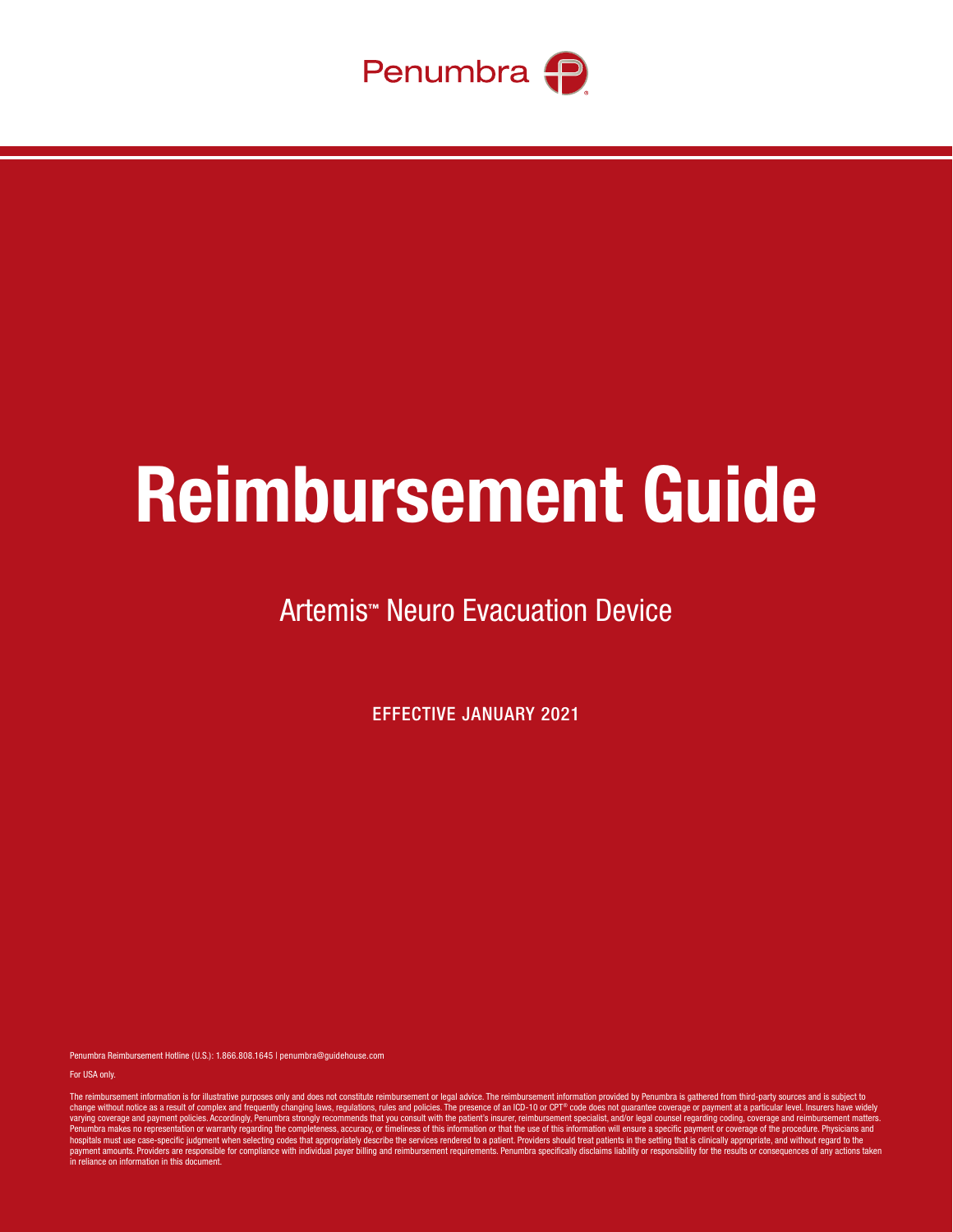

# Reimbursement Guide

## Artemis™ Neuro Evacuation Device

EFFECTIVE JANUARY 2021

Penumbra Reimbursement Hotline (U.S.): 1.866.808.1645 | penumbra@guidehouse.com

For USA only.

The reimbursement information is for illustrative purposes only and does not constitute reimbursement or legal advice. The reimbursement information provided by Penumbra is gathered from third-party sources and is subject change without notice as a result of complex and frequently changing laws, regulations, rules and policies. The presence of an ICD-10 or CPT® code does not guarantee coverage or payment at a particular level. Insurers have in reliance on information in this document.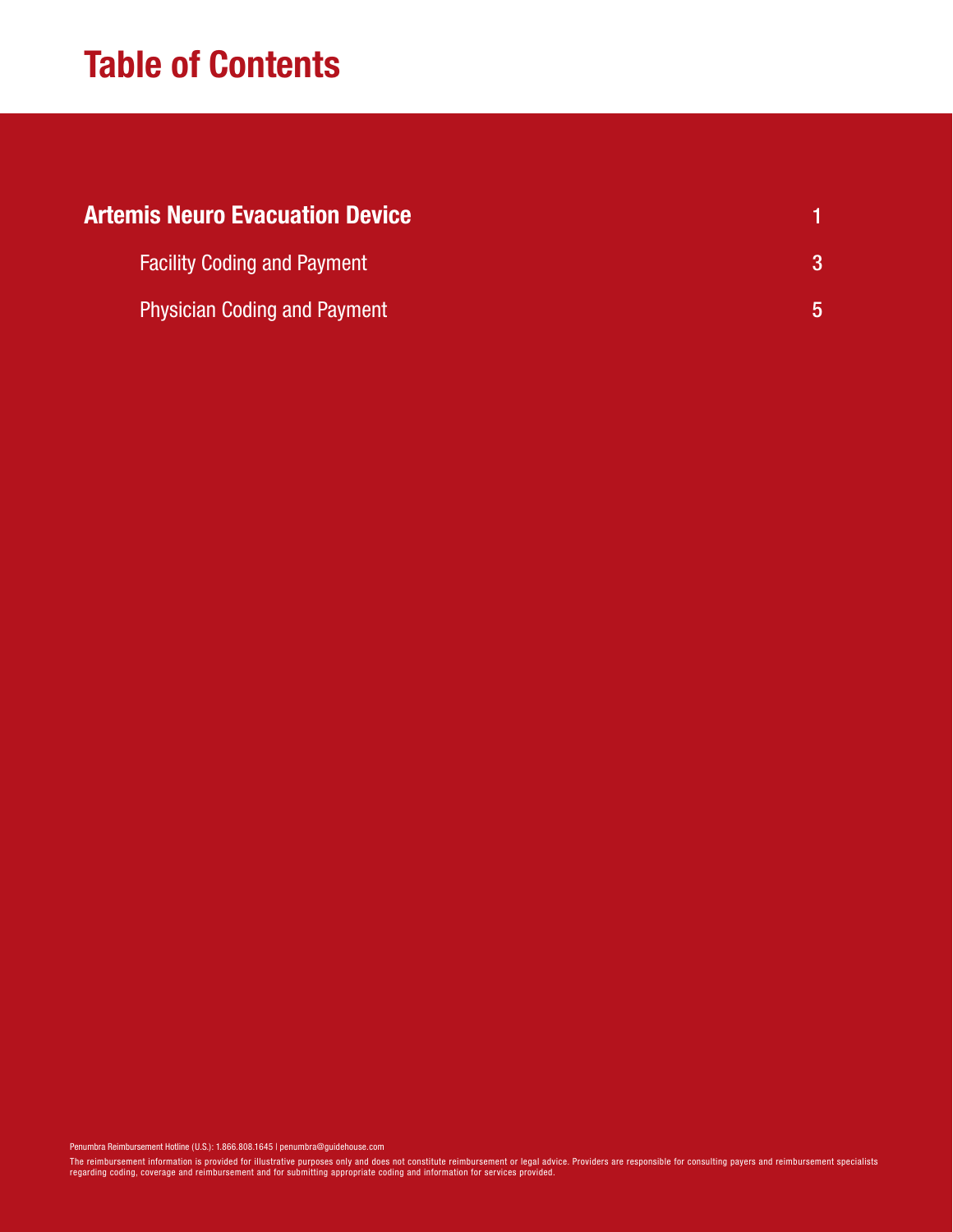# Table of Contents

| <b>Artemis Neuro Evacuation Device</b> |   |
|----------------------------------------|---|
| <b>Facility Coding and Payment</b>     |   |
| <b>Physician Coding and Payment</b>    | 5 |

Penumbra Reimbursement Hotline (U.S.): 1.866.808.1645 | penumbra@guidehouse.com

The reimbursement information is provided for illustrative purposes only and does not constitute reimbursement or legal advice. Providers are responsible for consulting payers and reimbursement specialists<br>regarding coding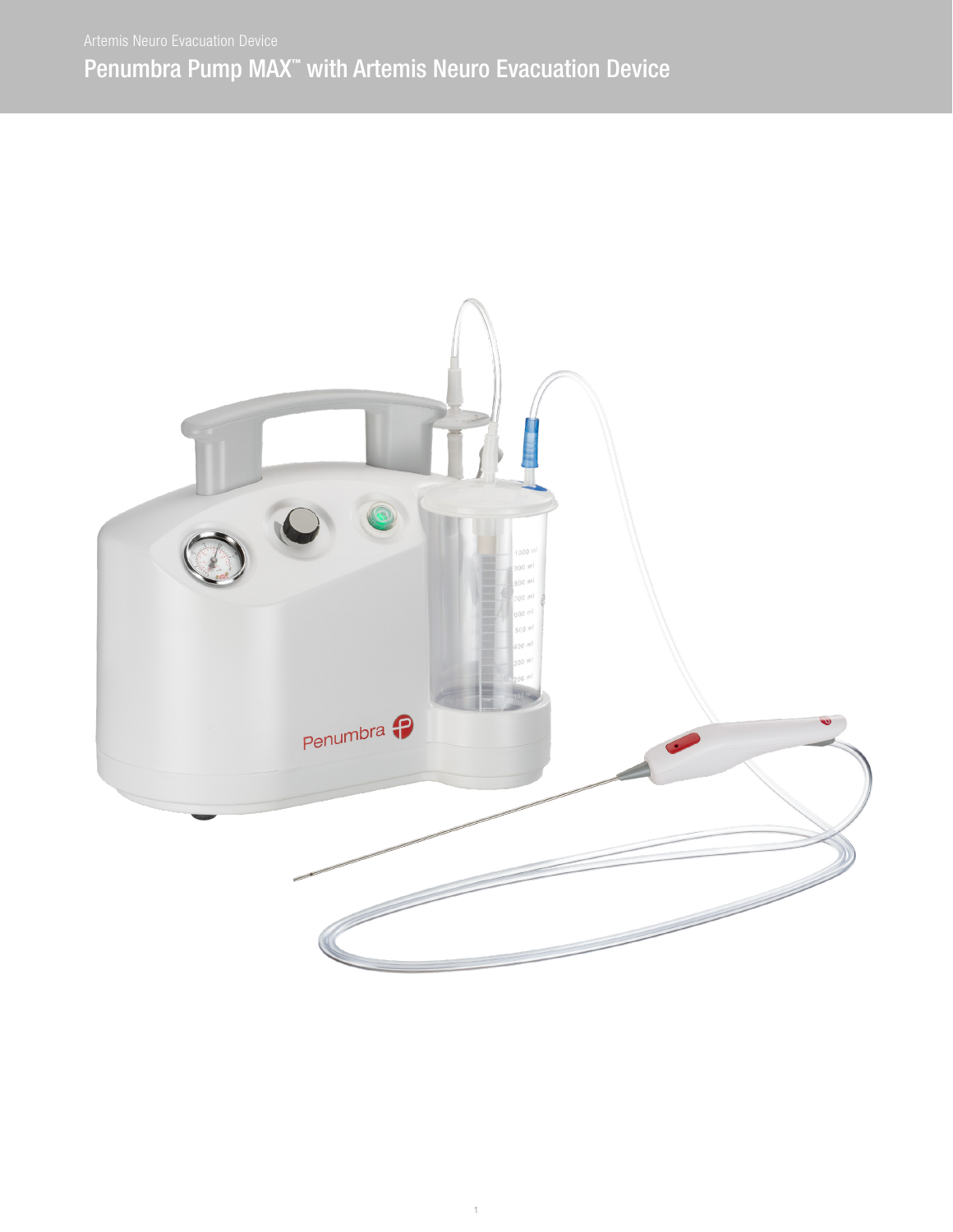# Penumbra Pump MAX™ with Artemis Neuro Evacuation Device

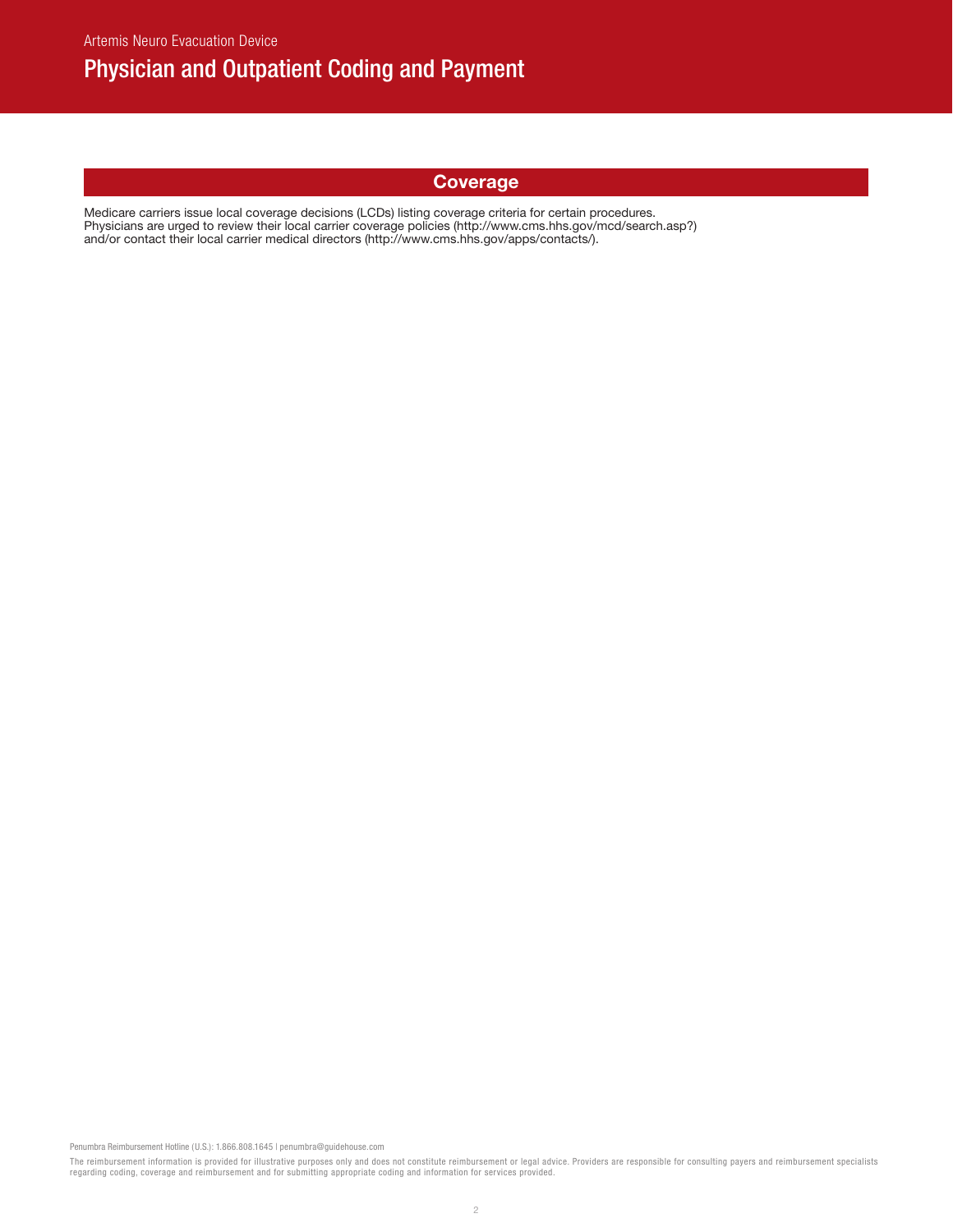#### **Coverage**

Medicare carriers issue local coverage decisions (LCDs) listing coverage criteria for certain procedures. Physicians are urged to review their local carrier coverage policies (http://www.cms.hhs.gov/mcd/search.asp?) and/or contact their local carrier medical directors (http://www.cms.hhs.gov/apps/contacts/).

Penumbra Reimbursement Hotline (U.S.): 1.866.808.1645 | penumbra@guidehouse.com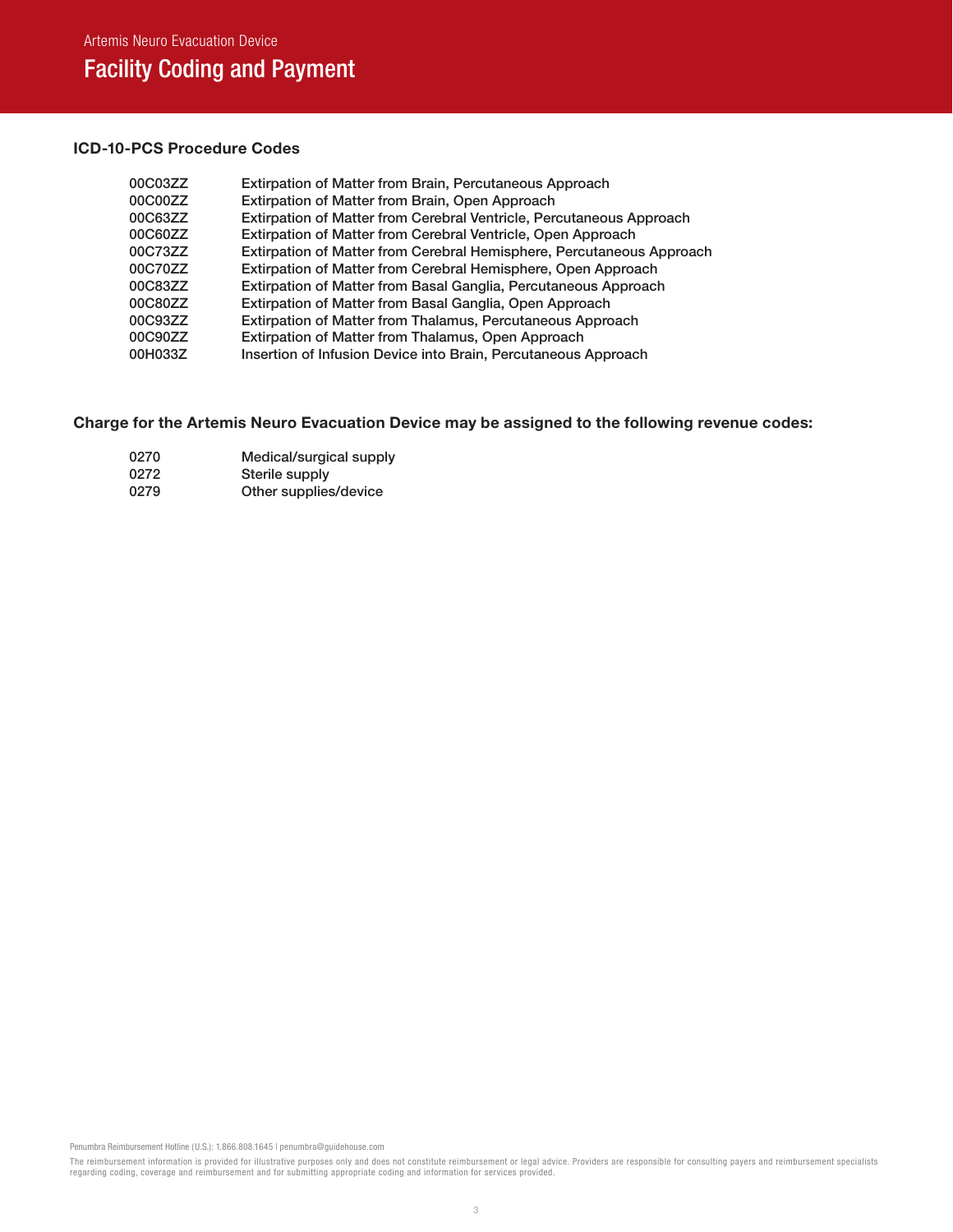### Facility Coding and Payment

#### ICD-10-PCS Procedure Codes

| 00C03ZZ | Extirpation of Matter from Brain, Percutaneous Approach               |
|---------|-----------------------------------------------------------------------|
| 00C00ZZ | Extirpation of Matter from Brain, Open Approach                       |
| 00C63ZZ | Extirpation of Matter from Cerebral Ventricle, Percutaneous Approach  |
| 00C60ZZ | Extirpation of Matter from Cerebral Ventricle, Open Approach          |
| 00C73ZZ | Extirpation of Matter from Cerebral Hemisphere, Percutaneous Approach |
| 00C70ZZ | Extirpation of Matter from Cerebral Hemisphere, Open Approach         |
| 00C83ZZ | Extirpation of Matter from Basal Ganglia, Percutaneous Approach       |
| 00C80ZZ | Extirpation of Matter from Basal Ganglia, Open Approach               |
| 00C93ZZ | Extirpation of Matter from Thalamus, Percutaneous Approach            |
| 00C90ZZ | Extirpation of Matter from Thalamus, Open Approach                    |
| 00H033Z | Insertion of Infusion Device into Brain, Percutaneous Approach        |

#### Charge for the Artemis Neuro Evacuation Device may be assigned to the following revenue codes:

| 0270 | Medical/surgical supply |
|------|-------------------------|
| 0272 | Sterile supply          |

0272 Sterile supply<br>0279 Other supplie Other supplies/device

Penumbra Reimbursement Hotline (U.S.): 1.866.808.1645 | penumbra@guidehouse.com

The reimbursement information is provided for illustrative purposes only and does not constitute reimbursement or legal advice. Providers are responsible for consulting payers and reimbursement specialists<br>regarding coding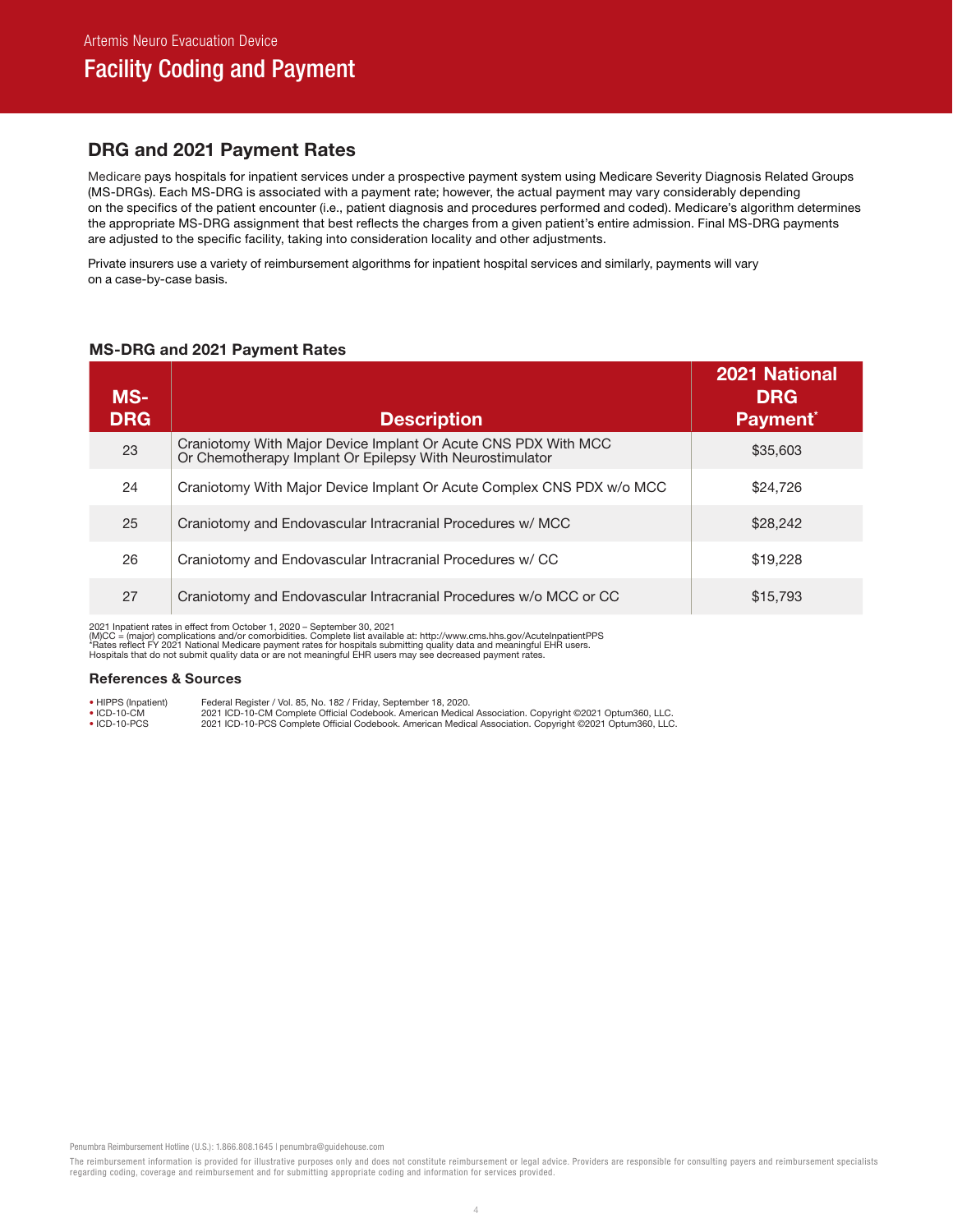#### DRG and 2021 Payment Rates

Medicare pays hospitals for inpatient services under a prospective payment system using Medicare Severity Diagnosis Related Groups (MS-DRGs). Each MS-DRG is associated with a payment rate; however, the actual payment may vary considerably depending on the specifics of the patient encounter (i.e., patient diagnosis and procedures performed and coded). Medicare's algorithm determines the appropriate MS-DRG assignment that best reflects the charges from a given patient's entire admission. Final MS-DRG payments are adjusted to the specific facility, taking into consideration locality and other adjustments.

Private insurers use a variety of reimbursement algorithms for inpatient hospital services and similarly, payments will vary on a case-by-case basis.

#### MS-DRG and 2021 Payment Rates

| MS-<br><b>DRG</b> | <b>Description</b>                                                                                                         | <b>2021 National</b><br><b>DRG</b><br><b>Payment</b> |
|-------------------|----------------------------------------------------------------------------------------------------------------------------|------------------------------------------------------|
| 23                | Craniotomy With Major Device Implant Or Acute CNS PDX With MCC<br>Or Chemotherapy Implant Or Epilepsy With Neurostimulator | \$35,603                                             |
| 24                | Craniotomy With Major Device Implant Or Acute Complex CNS PDX w/o MCC                                                      | \$24,726                                             |
| 25                | Craniotomy and Endovascular Intracranial Procedures w/ MCC                                                                 | \$28,242                                             |
| 26                | Craniotomy and Endovascular Intracranial Procedures w/ CC                                                                  | \$19,228                                             |
| 27                | Craniotomy and Endovascular Intracranial Procedures w/o MCC or CC                                                          | \$15,793                                             |

2021 Inpatient rates in effect from October 1, 2020 – September 30, 2021<br>(M)CC = (major) complications and/or comorbidities. Complete list available at: http://www.cms.hhs.gov/AcuteInpatientPPS<br>\*Rates reflect FY 2021 Natio

#### References & Sources

• HIPPS (Inpatient) Federal Register / Vol. 85, No. 182 / Friday, September 18, 2020.<br>• ICD-10-CM 2021 ICD-10-CM Complete Official Codebook. American Medica<br>• ICD-10-PCS 2021 ICD-10-PCS Complete Official Codebook. American • ICD-10-CM 2021 ICD-10-CM Complete Official Codebook. American Medical Association. Copyright ©2021 Optum360, LLC. • ICD-10-PCS 2021 ICD-10-PCS Complete Official Codebook. American Medical Association. Copyright ©2021 Optum360, LLC.

Penumbra Reimbursement Hotline (U.S.): 1.866.808.1645 | penumbra@guidehouse.com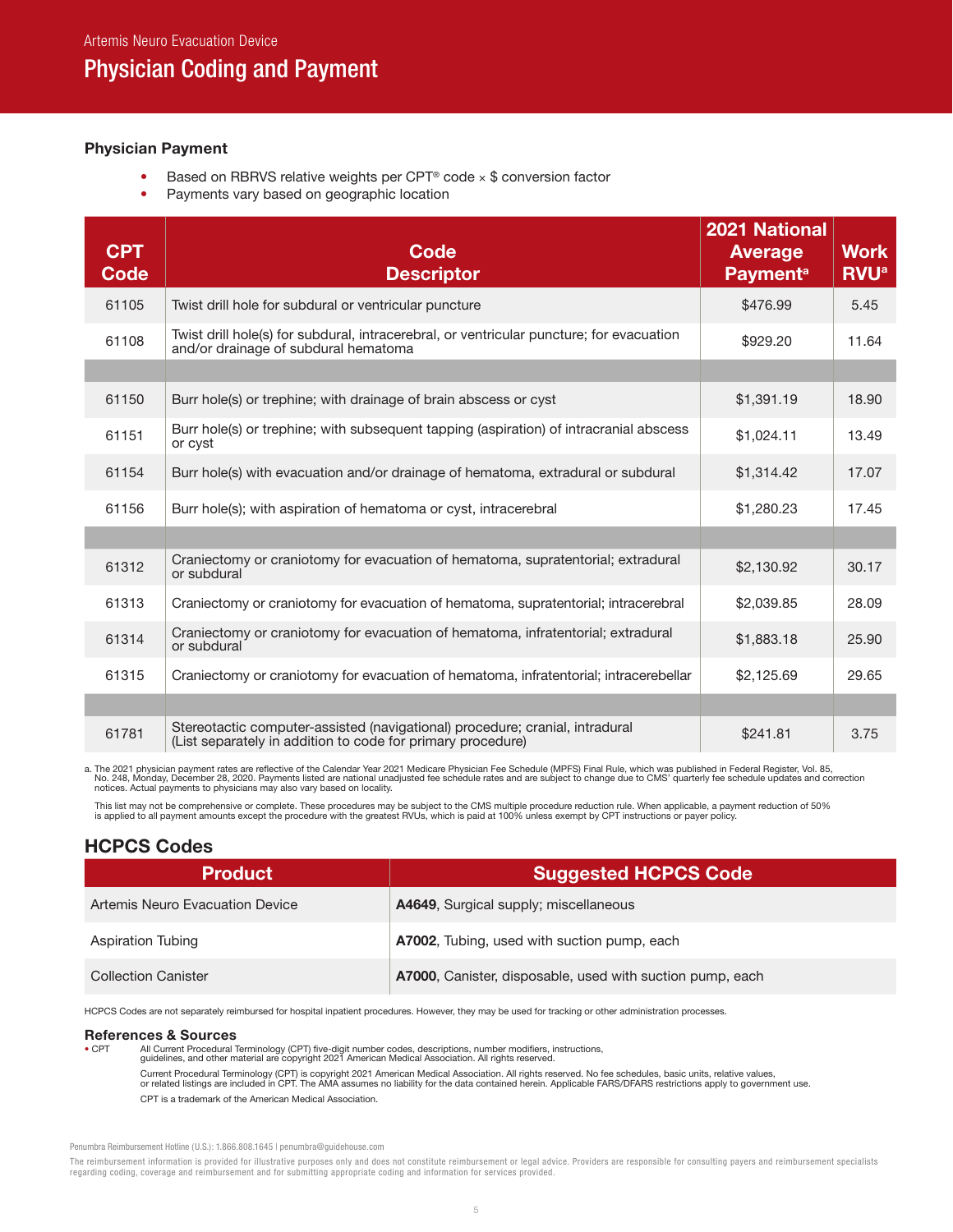#### Physician Payment

- Based on RBRVS relative weights per CPT<sup>®</sup> code  $\times$  \$ conversion factor
- Payments vary based on geographic location

| <b>CPT</b><br>Code | <b>Code</b><br><b>Descriptor</b>                                                                                                            | <b>2021 National</b><br><b>Average</b><br><b>Payment<sup>a</sup></b> | <b>Work</b><br><b>RVU<sup>a</sup></b> |
|--------------------|---------------------------------------------------------------------------------------------------------------------------------------------|----------------------------------------------------------------------|---------------------------------------|
| 61105              | Twist drill hole for subdural or ventricular puncture                                                                                       | \$476.99                                                             | 5.45                                  |
| 61108              | Twist drill hole(s) for subdural, intracerebral, or ventricular puncture; for evacuation<br>and/or drainage of subdural hematoma            | \$929.20                                                             | 11.64                                 |
|                    |                                                                                                                                             |                                                                      |                                       |
| 61150              | Burr hole(s) or trephine; with drainage of brain abscess or cyst                                                                            | \$1,391.19                                                           | 18.90                                 |
| 61151              | Burr hole(s) or trephine; with subsequent tapping (aspiration) of intracranial abscess<br>\$1,024.11<br>or cyst                             |                                                                      | 13.49                                 |
| 61154              | Burr hole(s) with evacuation and/or drainage of hematoma, extradural or subdural<br>\$1,314.42                                              |                                                                      | 17.07                                 |
| 61156              | Burr hole(s); with aspiration of hematoma or cyst, intracerebral                                                                            | \$1,280.23                                                           | 17.45                                 |
|                    |                                                                                                                                             |                                                                      |                                       |
| 61312              | Craniectomy or craniotomy for evacuation of hematoma, supratentorial; extradural<br>or subdural                                             | \$2,130.92                                                           | 30.17                                 |
| 61313              | Craniectomy or craniotomy for evacuation of hematoma, supratentorial; intracerebral                                                         | \$2,039.85                                                           | 28.09                                 |
| 61314              | Craniectomy or craniotomy for evacuation of hematoma, infratentorial; extradural<br>\$1,883.18<br>or subdural                               |                                                                      | 25.90                                 |
| 61315              | Craniectomy or craniotomy for evacuation of hematoma, infratentorial; intracerebellar                                                       | \$2,125.69                                                           | 29.65                                 |
|                    |                                                                                                                                             |                                                                      |                                       |
| 61781              | Stereotactic computer-assisted (navigational) procedure; cranial, intradural<br>(List separately in addition to code for primary procedure) | \$241.81                                                             | 3.75                                  |

a. The 2021 physician payment rates are reflective of the Calendar Year 2021 Medicare Physician Fee Schedule (MPFS) Final Rule, which was published in Federal Register, Vol. 85, Mo. 248, Monday, December 28, 2020. Payment

This list may not be comprehensive or complete. These procedures may be subject to the CMS multiple procedure reduction rule. When applicable, a payment reduction of 50%<br>is applied to all payment amounts except the procedu

#### HCPCS Codes

| <b>∣Product</b> l               | <b>Suggested HCPCS Code</b>                               |
|---------------------------------|-----------------------------------------------------------|
| Artemis Neuro Evacuation Device | A4649, Surgical supply; miscellaneous                     |
| <b>Aspiration Tubing</b>        | A7002, Tubing, used with suction pump, each               |
| <b>Collection Canister</b>      | A7000, Canister, disposable, used with suction pump, each |

HCPCS Codes are not separately reimbursed for hospital inpatient procedures. However, they may be used for tracking or other administration processes.

#### References & Sources

• CPT All Current Procedural Terminology (CPT) five-digit number codes, descriptions, number modifiers, instructions, guidelines, and other material are copyright 2021 American Medical Association. All rights reserved.

Current Procedural Terminology (CPT) is copyright 2021 American Medical Association. All rights reserved. No fee schedules, basic units, relative values,<br>or related listings are included in CPT. The AMA assumes no liabilit CPT is a trademark of the American Medical Association.

Penumbra Reimbursement Hotline (U.S.): 1.866.808.1645 | penumbra@guidehouse.com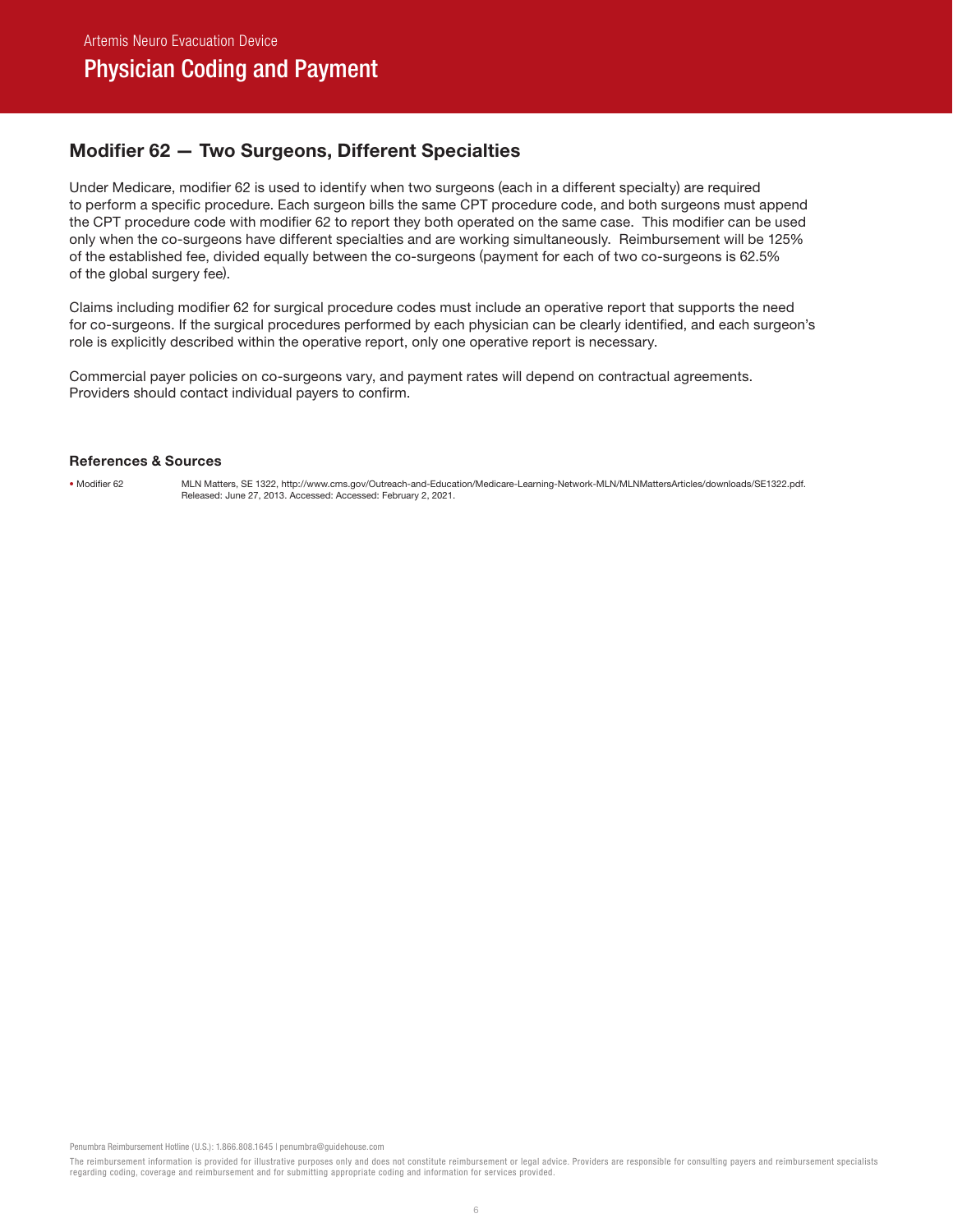#### Modifier 62 — Two Surgeons, Different Specialties

Under Medicare, modifier 62 is used to identify when two surgeons (each in a different specialty) are required to perform a specific procedure. Each surgeon bills the same CPT procedure code, and both surgeons must append the CPT procedure code with modifier 62 to report they both operated on the same case. This modifier can be used only when the co-surgeons have different specialties and are working simultaneously. Reimbursement will be 125% of the established fee, divided equally between the co-surgeons (payment for each of two co-surgeons is 62.5% of the global surgery fee).

Claims including modifier 62 for surgical procedure codes must include an operative report that supports the need for co-surgeons. If the surgical procedures performed by each physician can be clearly identified, and each surgeon's role is explicitly described within the operative report, only one operative report is necessary.

Commercial payer policies on co-surgeons vary, and payment rates will depend on contractual agreements. Providers should contact individual payers to confirm.

#### References & Sources

• Modifier 62 MLN Matters, SE 1322, http://www.cms.gov/Outreach-and-Education/Medicare-Learning-Network-MLN/MLNMattersArticles/downloads/SE1322.pdf. Released: June 27, 2013. Accessed: Accessed: February 2, 2021.

Penumbra Reimbursement Hotline (U.S.): 1.866.808.1645 | penumbra@guidehouse.com